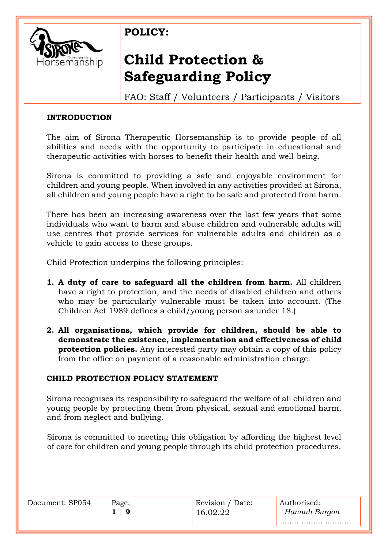

# **Child Protection & Safeguarding Policy**

FAO: Staff / Volunteers / Participants / Visitors

### **INTRODUCTION**

The aim of Sirona Therapeutic Horsemanship is to provide people of all abilities and needs with the opportunity to participate in educational and therapeutic activities with horses to benefit their health and well-being.

Sirona is committed to providing a safe and enjoyable environment for children and young people. When involved in any activities provided at Sirona, all children and young people have a right to be safe and protected from harm.

There has been an increasing awareness over the last few years that some individuals who want to harm and abuse children and vulnerable adults will use centres that provide services for vulnerable adults and children as a vehicle to gain access to these groups.

Child Protection underpins the following principles:

- **1. A duty of care to safeguard all the children from harm.** All children have a right to protection, and the needs of disabled children and others who may be particularly vulnerable must be taken into account. (The Children Act 1989 defines a child/young person as under 18.)
- **2. All organisations, which provide for children, should be able to demonstrate the existence, implementation and effectiveness of child protection policies.** Any interested party may obtain a copy of this policy from the office on payment of a reasonable administration charge.

### **CHILD PROTECTION POLICY STATEMENT**

Sirona recognises its responsibility to safeguard the welfare of all children and young people by protecting them from physical, sexual and emotional harm, and from neglect and bullying.

Sirona is committed to meeting this obligation by affording the highest level of care for children and young people through its child protection procedures.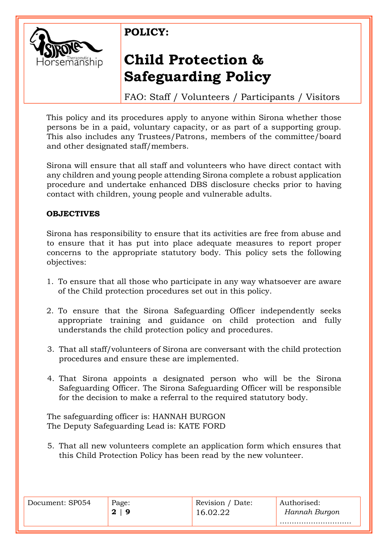

# **Child Protection & Safeguarding Policy**

FAO: Staff / Volunteers / Participants / Visitors

This policy and its procedures apply to anyone within Sirona whether those persons be in a paid, voluntary capacity, or as part of a supporting group. This also includes any Trustees/Patrons, members of the committee/board and other designated staff/members.

Sirona will ensure that all staff and volunteers who have direct contact with any children and young people attending Sirona complete a robust application procedure and undertake enhanced DBS disclosure checks prior to having contact with children, young people and vulnerable adults.

#### **OBJECTIVES**

Sirona has responsibility to ensure that its activities are free from abuse and to ensure that it has put into place adequate measures to report proper concerns to the appropriate statutory body. This policy sets the following objectives:

- 1. To ensure that all those who participate in any way whatsoever are aware of the Child protection procedures set out in this policy.
- 2. To ensure that the Sirona Safeguarding Officer independently seeks appropriate training and guidance on child protection and fully understands the child protection policy and procedures.
- 3. That all staff/volunteers of Sirona are conversant with the child protection procedures and ensure these are implemented.
- 4. That Sirona appoints a designated person who will be the Sirona Safeguarding Officer. The Sirona Safeguarding Officer will be responsible for the decision to make a referral to the required statutory body.

The safeguarding officer is: HANNAH BURGON The Deputy Safeguarding Lead is: KATE FORD

5. That all new volunteers complete an application form which ensures that this Child Protection Policy has been read by the new volunteer.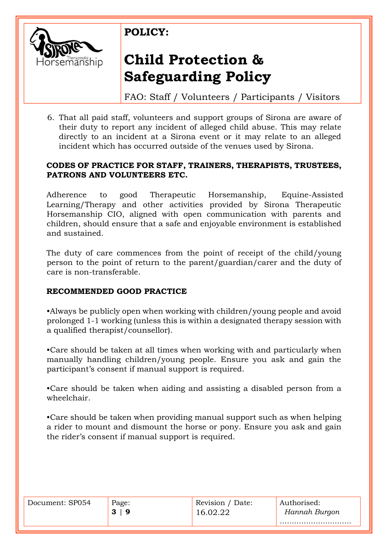

# **Child Protection & Safeguarding Policy**

FAO: Staff / Volunteers / Participants / Visitors

6. That all paid staff, volunteers and support groups of Sirona are aware of their duty to report any incident of alleged child abuse. This may relate directly to an incident at a Sirona event or it may relate to an alleged incident which has occurred outside of the venues used by Sirona.

#### **CODES OF PRACTICE FOR STAFF, TRAINERS, THERAPISTS, TRUSTEES, PATRONS AND VOLUNTEERS ETC.**

Adherence to good Therapeutic Horsemanship, Equine-Assisted Learning/Therapy and other activities provided by Sirona Therapeutic Horsemanship CIO, aligned with open communication with parents and children, should ensure that a safe and enjoyable environment is established and sustained.

The duty of care commences from the point of receipt of the child/young person to the point of return to the parent/guardian/carer and the duty of care is non-transferable.

### **RECOMMENDED GOOD PRACTICE**

•Always be publicly open when working with children/young people and avoid prolonged 1-1 working (unless this is within a designated therapy session with a qualified therapist/counsellor).

•Care should be taken at all times when working with and particularly when manually handling children/young people. Ensure you ask and gain the participant's consent if manual support is required.

•Care should be taken when aiding and assisting a disabled person from a wheelchair.

•Care should be taken when providing manual support such as when helping a rider to mount and dismount the horse or pony. Ensure you ask and gain the rider's consent if manual support is required.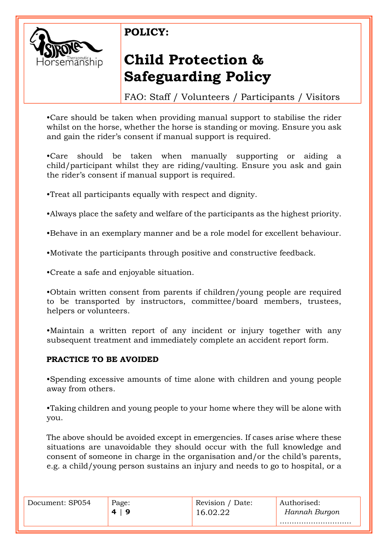

# **Child Protection & Safeguarding Policy**

FAO: Staff / Volunteers / Participants / Visitors

•Care should be taken when providing manual support to stabilise the rider whilst on the horse, whether the horse is standing or moving. Ensure you ask and gain the rider's consent if manual support is required.

•Care should be taken when manually supporting or aiding a child/participant whilst they are riding/vaulting. Ensure you ask and gain the rider's consent if manual support is required.

•Treat all participants equally with respect and dignity.

•Always place the safety and welfare of the participants as the highest priority.

•Behave in an exemplary manner and be a role model for excellent behaviour.

•Motivate the participants through positive and constructive feedback.

•Create a safe and enjoyable situation.

•Obtain written consent from parents if children/young people are required to be transported by instructors, committee/board members, trustees, helpers or volunteers.

•Maintain a written report of any incident or injury together with any subsequent treatment and immediately complete an accident report form.

### **PRACTICE TO BE AVOIDED**

•Spending excessive amounts of time alone with children and young people away from others.

•Taking children and young people to your home where they will be alone with you.

The above should be avoided except in emergencies. If cases arise where these situations are unavoidable they should occur with the full knowledge and consent of someone in charge in the organisation and/or the child's parents, e.g. a child/young person sustains an injury and needs to go to hospital, or a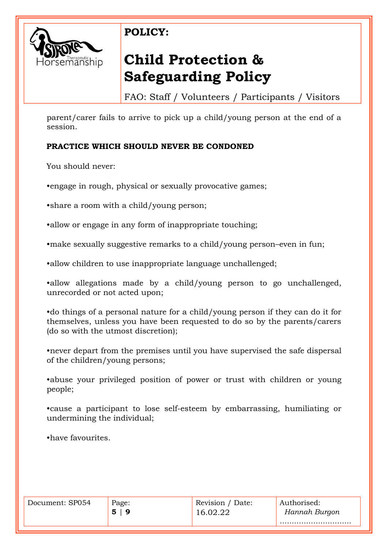

# **Child Protection & Safeguarding Policy**

FAO: Staff / Volunteers / Participants / Visitors

parent/carer fails to arrive to pick up a child/young person at the end of a session.

### **PRACTICE WHICH SHOULD NEVER BE CONDONED**

You should never:

•engage in rough, physical or sexually provocative games;

•share a room with a child/young person;

•allow or engage in any form of inappropriate touching;

•make sexually suggestive remarks to a child/young person–even in fun;

•allow children to use inappropriate language unchallenged;

•allow allegations made by a child/young person to go unchallenged, unrecorded or not acted upon;

•do things of a personal nature for a child/young person if they can do it for themselves, unless you have been requested to do so by the parents/carers (do so with the utmost discretion);

•never depart from the premises until you have supervised the safe dispersal of the children/young persons;

•abuse your privileged position of power or trust with children or young people;

•cause a participant to lose self-esteem by embarrassing, humiliating or undermining the individual;

•have favourites.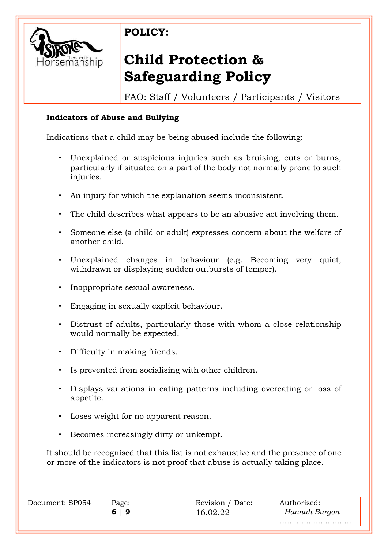

# **Child Protection & Safeguarding Policy**

FAO: Staff / Volunteers / Participants / Visitors

### **Indicators of Abuse and Bullying**

Indications that a child may be being abused include the following:

- Unexplained or suspicious injuries such as bruising, cuts or burns, particularly if situated on a part of the body not normally prone to such injuries.
- An injury for which the explanation seems inconsistent.
- The child describes what appears to be an abusive act involving them.
- Someone else (a child or adult) expresses concern about the welfare of another child.
- Unexplained changes in behaviour (e.g. Becoming very quiet, withdrawn or displaying sudden outbursts of temper).
- Inappropriate sexual awareness.
- Engaging in sexually explicit behaviour.
- Distrust of adults, particularly those with whom a close relationship would normally be expected.
- Difficulty in making friends.
- Is prevented from socialising with other children.
- Displays variations in eating patterns including overeating or loss of appetite.
- Loses weight for no apparent reason.
- Becomes increasingly dirty or unkempt.

It should be recognised that this list is not exhaustive and the presence of one or more of the indicators is not proof that abuse is actually taking place.

| Document: SP054 | Page:<br>6 | Revision / Date: | Authorised:<br>Hannah Burgon |
|-----------------|------------|------------------|------------------------------|
|                 |            |                  |                              |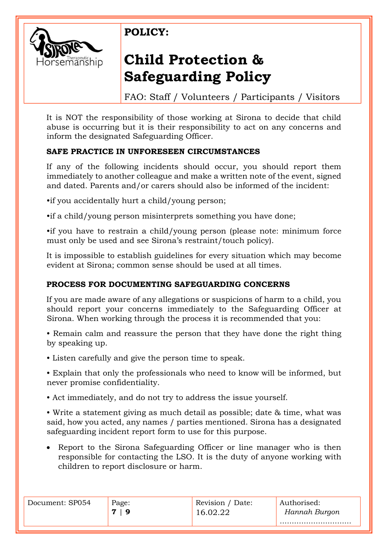

# **Child Protection & Safeguarding Policy**

FAO: Staff / Volunteers / Participants / Visitors

It is NOT the responsibility of those working at Sirona to decide that child abuse is occurring but it is their responsibility to act on any concerns and inform the designated Safeguarding Officer.

### **SAFE PRACTICE IN UNFORESEEN CIRCUMSTANCES**

If any of the following incidents should occur, you should report them immediately to another colleague and make a written note of the event, signed and dated. Parents and/or carers should also be informed of the incident:

•if you accidentally hurt a child/young person;

•if a child/young person misinterprets something you have done;

•if you have to restrain a child/young person (please note: minimum force must only be used and see Sirona's restraint/touch policy).

It is impossible to establish guidelines for every situation which may become evident at Sirona; common sense should be used at all times.

### **PROCESS FOR DOCUMENTING SAFEGUARDING CONCERNS**

If you are made aware of any allegations or suspicions of harm to a child, you should report your concerns immediately to the Safeguarding Officer at Sirona. When working through the process it is recommended that you:

• Remain calm and reassure the person that they have done the right thing by speaking up.

• Listen carefully and give the person time to speak.

• Explain that only the professionals who need to know will be informed, but never promise confidentiality.

• Act immediately, and do not try to address the issue yourself.

• Write a statement giving as much detail as possible; date & time, what was said, how you acted, any names / parties mentioned. Sirona has a designated safeguarding incident report form to use for this purpose.

• Report to the Sirona Safeguarding Officer or line manager who is then responsible for contacting the LSO. It is the duty of anyone working with children to report disclosure or harm.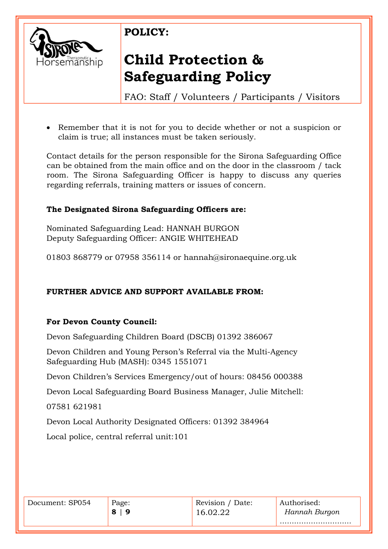

# **Child Protection & Safeguarding Policy**

FAO: Staff / Volunteers / Participants / Visitors

• Remember that it is not for you to decide whether or not a suspicion or claim is true; all instances must be taken seriously.

Contact details for the person responsible for the Sirona Safeguarding Office can be obtained from the main office and on the door in the classroom / tack room. The Sirona Safeguarding Officer is happy to discuss any queries regarding referrals, training matters or issues of concern.

### **The Designated Sirona Safeguarding Officers are:**

Nominated Safeguarding Lead: HANNAH BURGON Deputy Safeguarding Officer: ANGIE WHITEHEAD

01803 868779 or 07958 356114 or hannah@sironaequine.org.uk

### **FURTHER ADVICE AND SUPPORT AVAILABLE FROM:**

### **For Devon County Council:**

Devon Safeguarding Children Board (DSCB) 01392 386067

Devon Children and Young Person's Referral via the Multi-Agency Safeguarding Hub (MASH): 0345 1551071

Devon Children's Services Emergency/out of hours: 08456 000388

Devon Local Safeguarding Board Business Manager, Julie Mitchell:

07581 621981

Devon Local Authority Designated Officers: 01392 384964

Local police, central referral unit:101